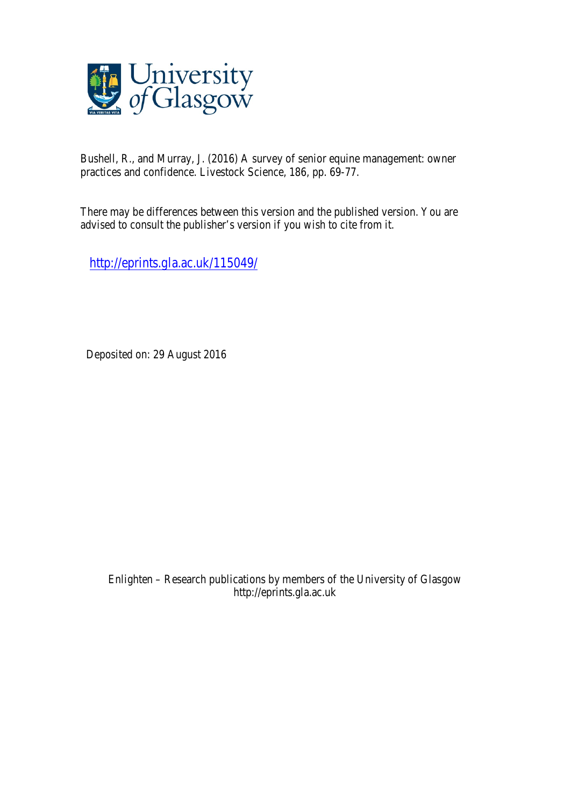

Bushell, R., and Murray, J. (2016) A survey of senior equine management: owner practices and confidence. Livestock Science, 186, pp. 69-77.

There may be differences between this version and the published version. You are advised to consult the publisher's version if you wish to cite from it.

http://eprints.gla.ac.uk/115049/

Deposited on: 29 August 2016

Enlighten – Research publications by members of the University of Glasgow http://eprints.gla.ac.uk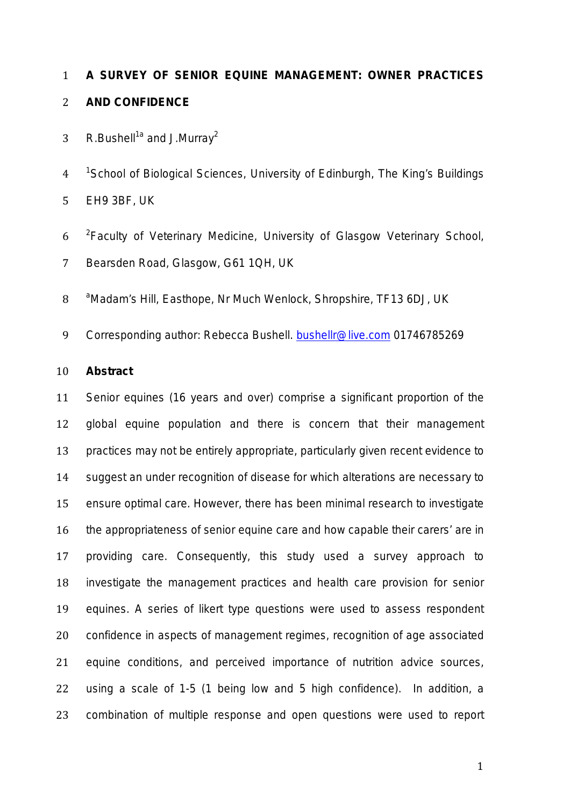# **A SURVEY OF SENIOR EQUINE MANAGEMENT: OWNER PRACTICES AND CONFIDENCE**

- 3 R.Bushell<sup>1a</sup> and J.Murray<sup>2</sup>
- *<sup>1</sup> School of Biological Sciences, University of Edinburgh, The King's Buildings*  EH9 3BF, *UK*
- *<sup>2</sup> Faculty of Veterinary Medicine, University of Glasgow Veterinary School, Bearsden Road, Glasgow, G61 1QH, UK*
- *<sup>a</sup> Madam's Hill, Easthope, Nr Much Wenlock, Shropshire, TF13 6DJ, UK*
- 9 Corresponding author: Rebecca Bushell. bushellr@live.com 01746785269

#### **Abstract**

 Senior equines (16 years and over) comprise a significant proportion of the global equine population and there is concern that their management practices may not be entirely appropriate, particularly given recent evidence to suggest an under recognition of disease for which alterations are necessary to ensure optimal care. However, there has been minimal research to investigate the appropriateness of senior equine care and how capable their carers' are in providing care. Consequently, this study used a survey approach to investigate the management practices and health care provision for senior equines. A series of likert type questions were used to assess respondent confidence in aspects of management regimes, recognition of age associated equine conditions, and perceived importance of nutrition advice sources, using a scale of 1-5 (1 being low and 5 high confidence). In addition, a combination of multiple response and open questions were used to report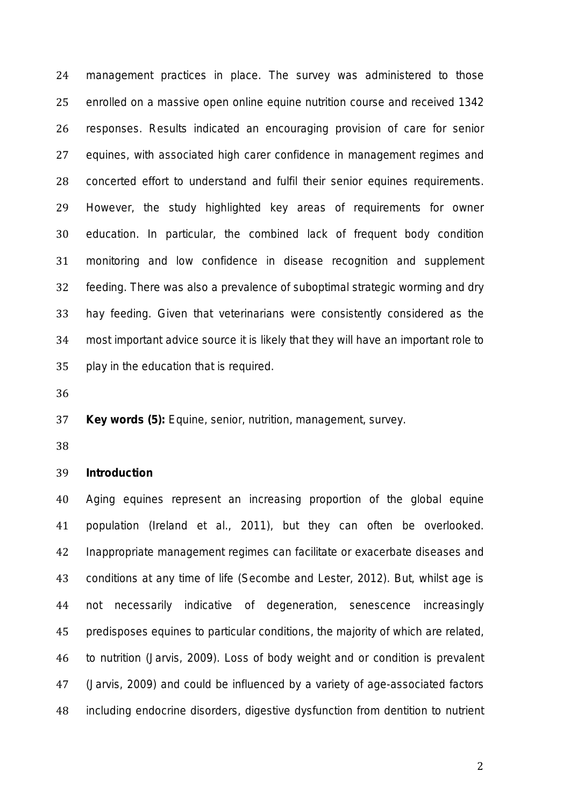management practices in place. The survey was administered to those enrolled on a massive open online equine nutrition course and received 1342 responses. Results indicated an encouraging provision of care for senior equines, with associated high carer confidence in management regimes and concerted effort to understand and fulfil their senior equines requirements. However, the study highlighted key areas of requirements for owner education. In particular, the combined lack of frequent body condition monitoring and low confidence in disease recognition and supplement feeding. There was also a prevalence of suboptimal strategic worming and dry hay feeding. Given that veterinarians were consistently considered as the most important advice source it is likely that they will have an important role to play in the education that is required.

**Key words (5):** Equine, senior, nutrition, management, survey.

## **Introduction**

 Aging equines represent an increasing proportion of the global equine population (Ireland *et al.,* 2011), but they can often be overlooked. Inappropriate management regimes can facilitate or exacerbate diseases and conditions at any time of life (Secombe and Lester, 2012). But, whilst age is not necessarily indicative of degeneration, senescence increasingly predisposes equines to particular conditions, the majority of which are related, to nutrition (Jarvis, 2009). Loss of body weight and or condition is prevalent (Jarvis, 2009) and could be influenced by a variety of age-associated factors including endocrine disorders, digestive dysfunction from dentition to nutrient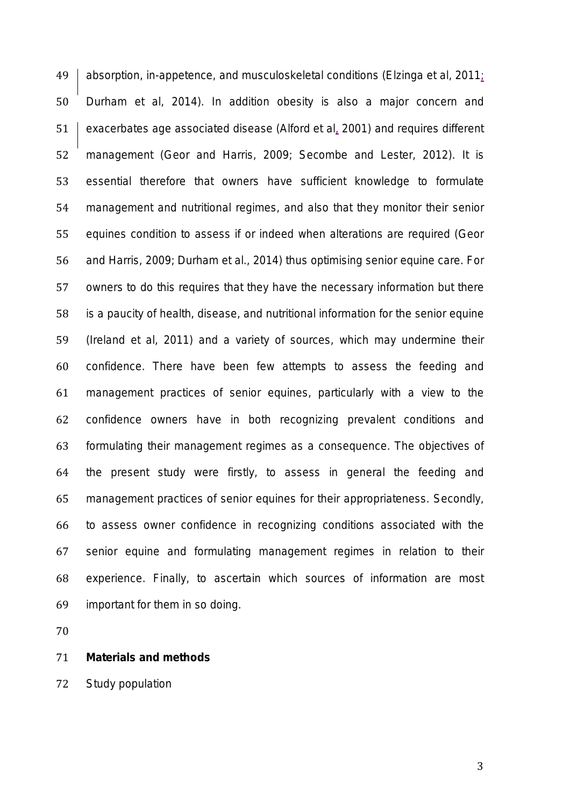absorption, in-appetence, and musculoskeletal conditions (Elzinga *et al,* 2011; Durham *et al*, 2014). In addition obesity is also a major concern and exacerbates age associated disease (Alford *et al*, 2001) and requires different management (Geor and Harris, 2009; Secombe and Lester, 2012). It is essential therefore that owners have sufficient knowledge to formulate management and nutritional regimes, and also that they monitor their senior equines condition to assess if or indeed when alterations are required (Geor and Harris, 2009; Durham *et al.,* 2014) thus optimising senior equine care. For owners to do this requires that they have the necessary information but there is a paucity of health, disease, and nutritional information for the senior equine (Ireland *et al,* 2011) and a variety of sources, which may undermine their confidence. There have been few attempts to assess the feeding and management practices of senior equines, particularly with a view to the confidence owners have in both recognizing prevalent conditions and formulating their management regimes as a consequence. The objectives of the present study were firstly, to assess in general the feeding and management practices of senior equines for their appropriateness. Secondly, to assess owner confidence in recognizing conditions associated with the senior equine and formulating management regimes in relation to their experience. Finally, to ascertain which sources of information are most important for them in so doing.

## **Materials and methods**

*Study population*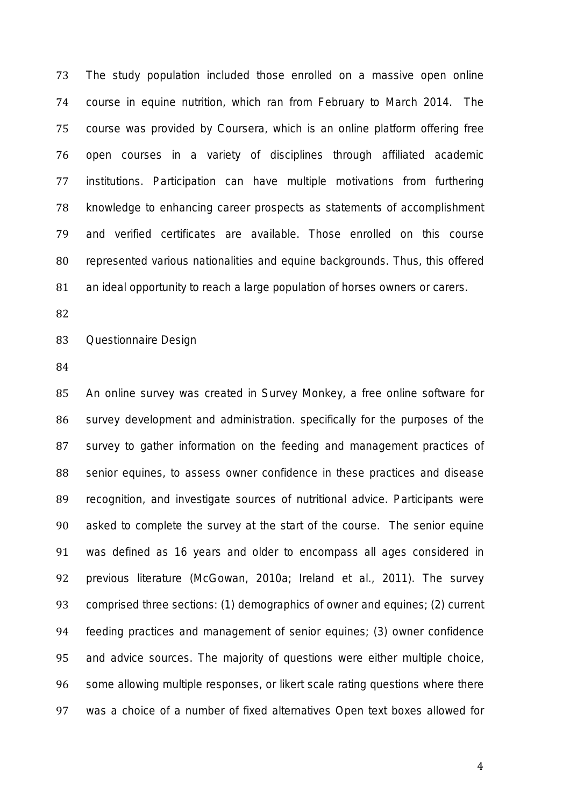The study population included those enrolled on a massive open online course in equine nutrition, which ran from February to March 2014. The course was provided by Coursera, which is an online platform offering free open courses in a variety of disciplines through affiliated academic institutions. Participation can have multiple motivations from furthering knowledge to enhancing career prospects as statements of accomplishment and verified certificates are available. Those enrolled on this course represented various nationalities and equine backgrounds. Thus, this offered an ideal opportunity to reach a large population of horses owners or carers.

# *Questionnaire Design*

 An online survey was created in Survey Monkey, a free online software for survey development and administration. specifically for the purposes of the survey to gather information on the feeding and management practices of senior equines, to assess owner confidence in these practices and disease recognition, and investigate sources of nutritional advice. Participants were asked to complete the survey at the start of the course. The senior equine was defined as 16 years and older to encompass all ages considered in previous literature (McGowan, 2010a; Ireland *et al.,* 2011). The survey comprised three sections: (1) demographics of owner and equines; (2) current feeding practices and management of senior equines; (3) owner confidence and advice sources. The majority of questions were either multiple choice, 96 some allowing multiple responses, or likert scale rating questions where there was a choice of a number of fixed alternatives Open text boxes allowed for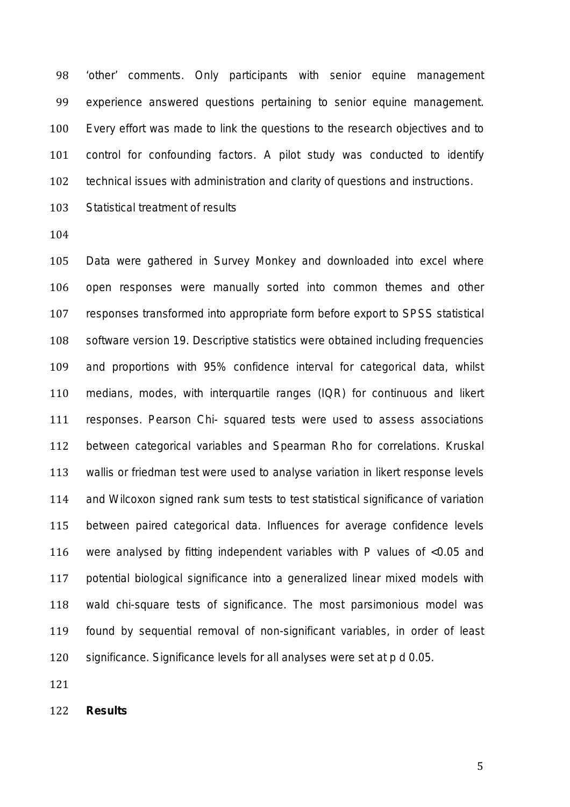'other' comments. Only participants with senior equine management experience answered questions pertaining to senior equine management. Every effort was made to link the questions to the research objectives and to control for confounding factors. A pilot study was conducted to identify technical issues with administration and clarity of questions and instructions.

*Statistical treatment of results*

 Data were gathered in Survey Monkey and downloaded into excel where open responses were manually sorted into common themes and other responses transformed into appropriate form before export to SPSS statistical software version 19. Descriptive statistics were obtained including frequencies and proportions with 95% confidence interval for categorical data, whilst medians, modes, with interquartile ranges (IQR) for continuous and likert responses. Pearson Chi- squared tests were used to assess associations between categorical variables and Spearman Rho for correlations. Kruskal wallis or friedman test were used to analyse variation in likert response levels and Wilcoxon signed rank sum tests to test statistical significance of variation between paired categorical data. Influences for average confidence levels were analysed by fitting independent variables with P values of <0.05 and potential biological significance into a generalized linear mixed models with wald chi-square tests of significance. The most parsimonious model was found by sequential removal of non-significant variables, in order of least significance. Significance levels for all analyses were set at *p d* 0.05.

**Results**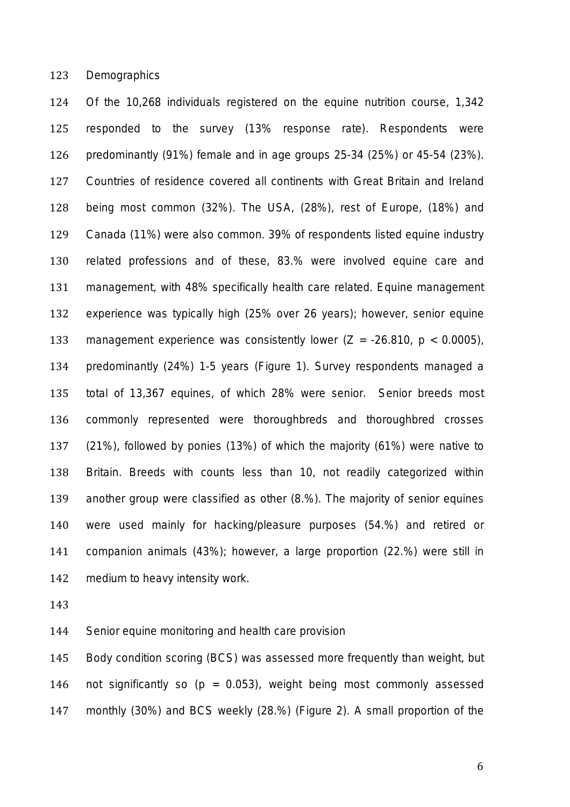*Demographics*

 Of the 10,268 individuals registered on the equine nutrition course, 1,342 responded to the survey (13% response rate). Respondents were predominantly (91%) female and in age groups 25-34 (25%) or 45-54 (23%). Countries of residence covered all continents with Great Britain and Ireland being most common (32%). The USA, (28%), rest of Europe, (18%) and Canada (11%) were also common. 39% of respondents listed equine industry related professions and of these, 83.% were involved equine care and management, with 48% specifically health care related. Equine management experience was typically high (25% over 26 years); however, senior equine management experience was consistently lower (*Z* = -26.810, *p* < 0.0005), predominantly (24%) 1-5 years (Figure 1). Survey respondents managed a total of 13,367 equines, of which 28% were senior. Senior breeds most commonly represented were thoroughbreds and thoroughbred crosses (21%), followed by ponies (13%) of which the majority (61%) were native to Britain. Breeds with counts less than 10, not readily categorized within another group were classified as other (8.%). The majority of senior equines were used mainly for hacking/pleasure purposes (54.%) and retired or companion animals (43%); however, a large proportion (22.%) were still in medium to heavy intensity work.

*Senior equine monitoring and health care provision*

 Body condition scoring (BCS) was assessed more frequently than weight, but 146 not significantly so  $(p = 0.053)$ , weight being most commonly assessed monthly (30%) and BCS weekly (28.%) (Figure 2). A small proportion of the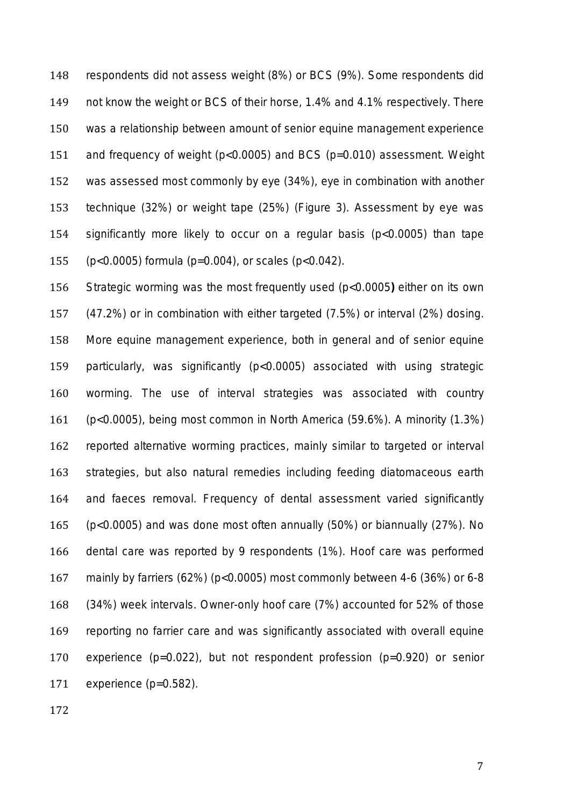respondents did not assess weight (8%) or BCS (9%). Some respondents did not know the weight or BCS of their horse, 1.4% and 4.1% respectively. There was a relationship between amount of senior equine management experience and frequency of weight (p<0.0005) and BCS (p=0.010) assessment. Weight was assessed most commonly by eye (34%), eye in combination with another technique (32%) or weight tape (25%) (Figure 3). Assessment by eye was significantly more likely to occur on a regular basis (p<0.0005) than tape (p<0.0005) formula (p=0.004), or scales (p<0.042).

 Strategic worming was the most frequently used (*p*<0.0005**)** either on its own (47.2%) or in combination with either targeted (7.5%) or interval (2%) dosing. More equine management experience, both in general and of senior equine particularly, was significantly (*p*<0.0005) associated with using strategic worming. The use of interval strategies was associated with country (*p*<0.0005), being most common in North America (59.6%). A minority (1.3%) reported alternative worming practices, mainly similar to targeted or interval strategies, but also natural remedies including feeding diatomaceous earth and faeces removal. Frequency of dental assessment varied significantly *(p<*0.0005) and was done most often annually (50%) or biannually (27%). No dental care was reported by 9 respondents (1%). Hoof care was performed mainly by farriers (62%) (*p*<0.0005) most commonly between 4-6 (36%) or 6-8 (34%) week intervals. Owner-only hoof care (7%) accounted for 52% of those reporting no farrier care and was significantly associated with overall equine experience (*p*=0.022), but not respondent profession (*p*=0.920) or senior experience (*p*=0.582).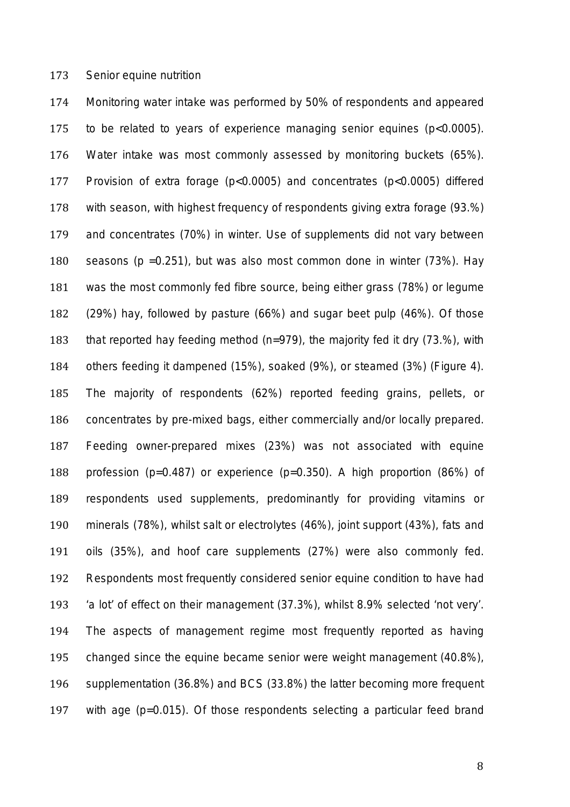#### *Senior equine nutrition*

 Monitoring water intake was performed by 50% of respondents and appeared to be related to years of experience managing senior equines (*p*<0.0005). Water intake was most commonly assessed by monitoring buckets (65%). Provision of extra forage (*p*<0.0005) and concentrates (*p*<0.0005) differed with season, with highest frequency of respondents giving extra forage (93.%) and concentrates (70%) in winter. Use of supplements did not vary between seasons (*p* =0.251), but was also most common done in winter (73%). Hay was the most commonly fed fibre source, being either grass (78%) or legume (29%) hay, followed by pasture (66%) and sugar beet pulp (46%). Of those that reported hay feeding method (n=979), the majority fed it dry (73.%), with others feeding it dampened (15%), soaked (9%), or steamed (3%) (Figure 4). The majority of respondents (62%) reported feeding grains, pellets, or concentrates by pre-mixed bags, either commercially and/or locally prepared. Feeding owner-prepared mixes (23%) was not associated with equine profession (p=0.487) or experience (*p*=0.350). A high proportion (86%) of respondents used supplements, predominantly for providing vitamins or minerals (78%), whilst salt or electrolytes (46%), joint support (43%), fats and oils (35%), and hoof care supplements (27%) were also commonly fed. Respondents most frequently considered senior equine condition to have had 'a lot' of effect on their management (37.3%), whilst 8.9% selected 'not very'. The aspects of management regime most frequently reported as having changed since the equine became senior were weight management (40.8%), supplementation (36.8%) and BCS (33.8%) the latter becoming more frequent with age (*p*=0.015). Of those respondents selecting a particular feed brand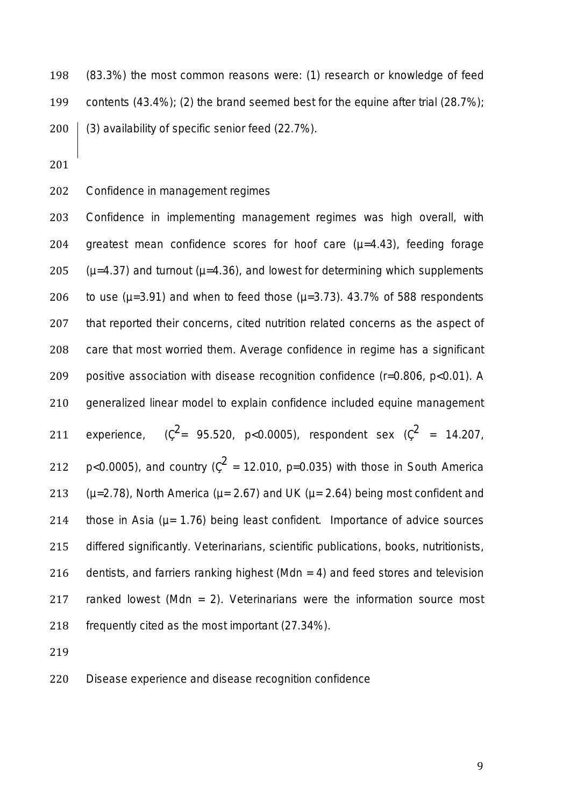(83.3%) the most common reasons were: (1) research or knowledge of feed contents (43.4%); (2) the brand seemed best for the equine after trial (28.7%); (3) availability of specific senior feed (22.7%).

# *Confidence in management regimes*

 Confidence in implementing management regimes was high overall, with 204 greatest mean confidence scores for hoof care  $(\mu=4.43)$ , feeding forage ( $\mu$ =4.37) and turnout ( $\mu$ =4.36), and lowest for determining which supplements 206 to use  $(\mu=3.91)$  and when to feed those  $(\mu=3.73)$ . 43.7% of 588 respondents that reported their concerns, cited nutrition related concerns as the aspect of care that most worried them. Average confidence in regime has a significant positive association with disease recognition confidence (r=0.806, p<0.01). A generalized linear model to explain confidence included equine management 211 experience,  $(\zeta^2 = 95.520, \, p < 0.0005)$ , respondent sex  $(\zeta^2 = 14.207,$ *p*<0.0005), and country ( $\zeta^2$  = 12.010, *p*=0.035) with those in South America 213 ( $\mu$ =2.78), North America ( $\mu$ = 2.67) and UK ( $\mu$ = 2.64) being most confident and 214 those in Asia ( $\mu$  = 1.76) being least confident. Importance of advice sources differed significantly. Veterinarians, scientific publications, books, nutritionists, dentists, and farriers ranking highest (*Mdn =* 4) and feed stores and television ranked lowest (*Mdn =* 2). Veterinarians were the information source most frequently cited as the most important (27.34%).

# *Disease experience and disease recognition confidence*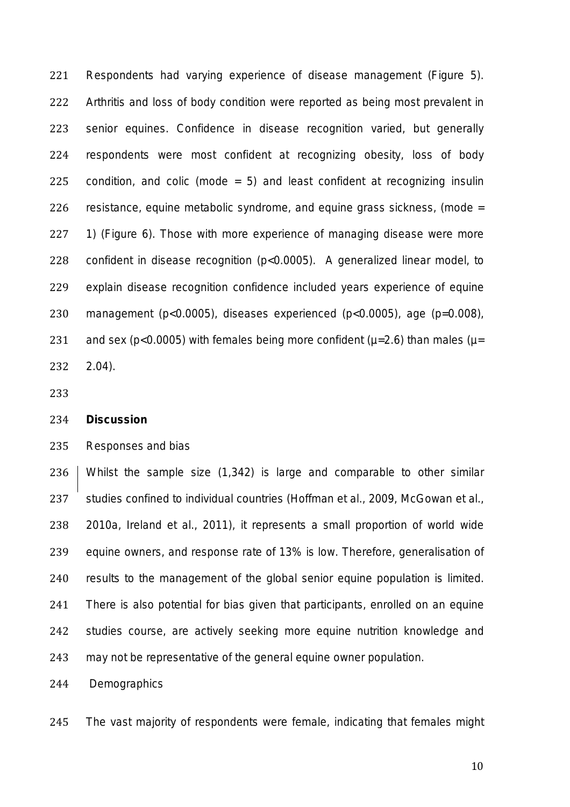Respondents had varying experience of disease management (Figure 5). Arthritis and loss of body condition were reported as being most prevalent in senior equines. Confidence in disease recognition varied, but generally respondents were most confident at recognizing obesity, loss of body 225 condition, and colic (mode  $= 5$ ) and least confident at recognizing insulin resistance, equine metabolic syndrome, and equine grass sickness, (mode = 1) (Figure 6). Those with more experience of managing disease were more confident in disease recognition (*p*<0.0005). A generalized linear model, to explain disease recognition confidence included years experience of equine management (*p*<0.0005), diseases experienced (*p*<0.0005), age (*p*=0.008), 231 and sex ( $p$ <0.0005) with females being more confident ( $\mu$ =2.6) than males ( $\mu$ = 2.04).

# **Discussion**

# *Responses and bias*

 Whilst the sample size (1,342) is large and comparable to other similar studies confined to individual countries (Hoffman *et al.,* 2009, McGowan *et al.,*  2010a, Ireland *et al.,* 2011), it represents a small proportion of world wide equine owners, and response rate of 13% is low. Therefore, generalisation of results to the management of the global senior equine population is limited. There is also potential for bias given that participants, enrolled on an equine studies course, are actively seeking more equine nutrition knowledge and may not be representative of the general equine owner population.

*Demographics*

The vast majority of respondents were female, indicating that females might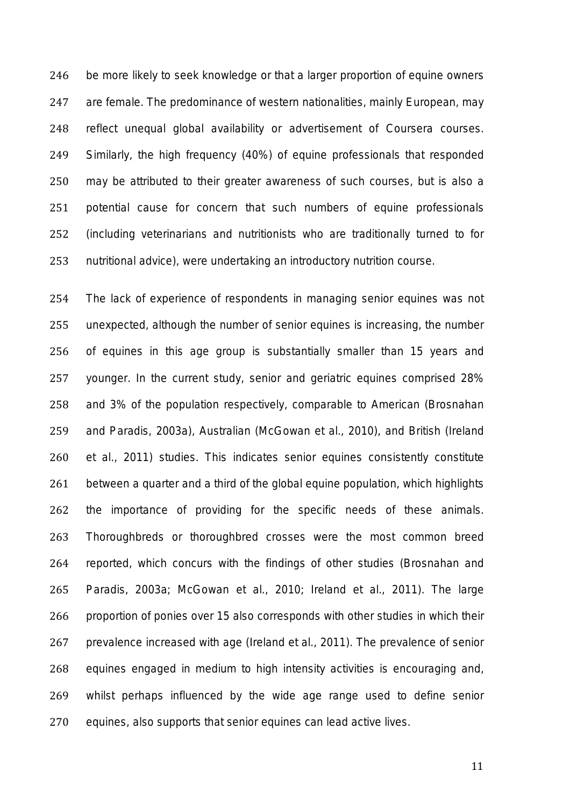be more likely to seek knowledge or that a larger proportion of equine owners are female. The predominance of western nationalities, mainly European, may reflect unequal global availability or advertisement of Coursera courses. Similarly, the high frequency (40%) of equine professionals that responded may be attributed to their greater awareness of such courses, but is also a potential cause for concern that such numbers of equine professionals (including veterinarians and nutritionists who are traditionally turned to for nutritional advice), were undertaking an introductory nutrition course.

 The lack of experience of respondents in managing senior equines was not unexpected, although the number of senior equines is increasing, the number of equines in this age group is substantially smaller than 15 years and younger. In the current study, senior and geriatric equines comprised 28% and 3% of the population respectively, comparable to American (Brosnahan and Paradis, 2003a), Australian (McGowan *et al.,* 2010), and British (Ireland *et al*., 2011) studies. This indicates senior equines consistently constitute between a quarter and a third of the global equine population, which highlights the importance of providing for the specific needs of these animals. Thoroughbreds or thoroughbred crosses were the most common breed reported, which concurs with the findings of other studies (Brosnahan and Paradis, 2003a; McGowan *et al.,* 2010; Ireland *et al*., 2011). The large proportion of ponies over 15 also corresponds with other studies in which their prevalence increased with age (Ireland *et al.,* 2011). The prevalence of senior equines engaged in medium to high intensity activities is encouraging and, whilst perhaps influenced by the wide age range used to define senior equines, also supports that senior equines can lead active lives.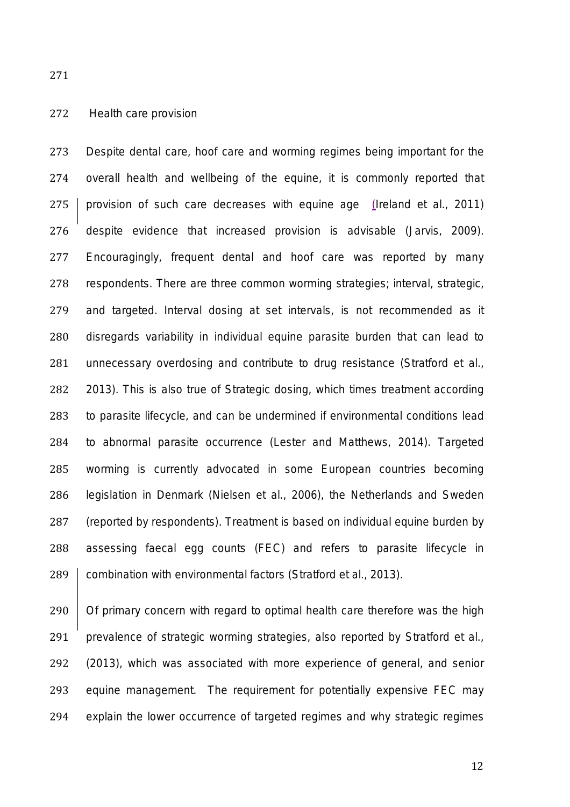# *Health care provision*

 Despite dental care, hoof care and worming regimes being important for the overall health and wellbeing of the equine, it is commonly reported that provision of such care decreases with equine age (Ireland *et al.,* 2011) despite evidence that increased provision is advisable (Jarvis, 2009). Encouragingly, frequent dental and hoof care was reported by many respondents. There are three common worming strategies; interval, strategic, and targeted. Interval dosing at set intervals, is not recommended as it disregards variability in individual equine parasite burden that can lead to unnecessary overdosing and contribute to drug resistance (Stratford *et al.,* 2013). This is also true of Strategic dosing, which times treatment according to parasite lifecycle, and can be undermined if environmental conditions lead to abnormal parasite occurrence (Lester and Matthews, 2014). Targeted worming is currently advocated in some European countries becoming legislation in Denmark (Nielsen *et al.,* 2006), the Netherlands and Sweden (reported by respondents). Treatment is based on individual equine burden by assessing faecal egg counts (FEC) and refers to parasite lifecycle in **combination with environmental factors (Stratford** *et al.,* **2013).** 

 Of primary concern with regard to optimal health care therefore was the high prevalence of strategic worming strategies, also reported by Stratford *et al*., (2013), which was associated with more experience of general, and senior equine management. The requirement for potentially expensive FEC may explain the lower occurrence of targeted regimes and why strategic regimes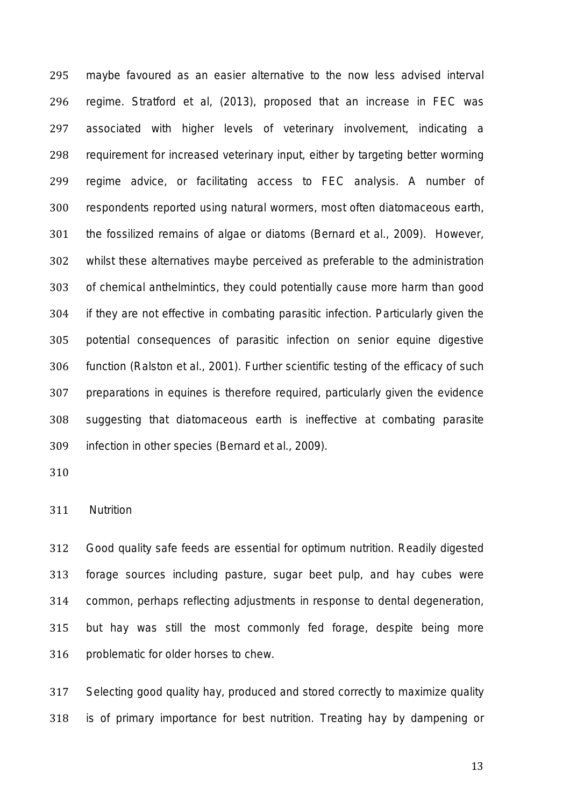maybe favoured as an easier alternative to the now less advised interval regime. Stratford *et al,* (2013), proposed that an increase in FEC was associated with higher levels of veterinary involvement, indicating a requirement for increased veterinary input, either by targeting better worming regime advice, or facilitating access to FEC analysis. A number of respondents reported using natural wormers, most often diatomaceous earth, the fossilized remains of algae or diatoms (Bernard *et al.,* 2009). However, whilst these alternatives maybe perceived as preferable to the administration of chemical anthelmintics, they could potentially cause more harm than good if they are not effective in combating parasitic infection. Particularly given the potential consequences of parasitic infection on senior equine digestive function (Ralston *et al.,* 2001). Further scientific testing of the efficacy of such preparations in equines is therefore required, particularly given the evidence suggesting that diatomaceous earth is ineffective at combating parasite infection in other species (Bernard *et al.,* 2009).

# *Nutrition*

 Good quality safe feeds are essential for optimum nutrition. Readily digested forage sources including pasture, sugar beet pulp, and hay cubes were common, perhaps reflecting adjustments in response to dental degeneration, but hay was still the most commonly fed forage, despite being more problematic for older horses to chew.

 Selecting good quality hay, produced and stored correctly to maximize quality is of primary importance for best nutrition. Treating hay by dampening or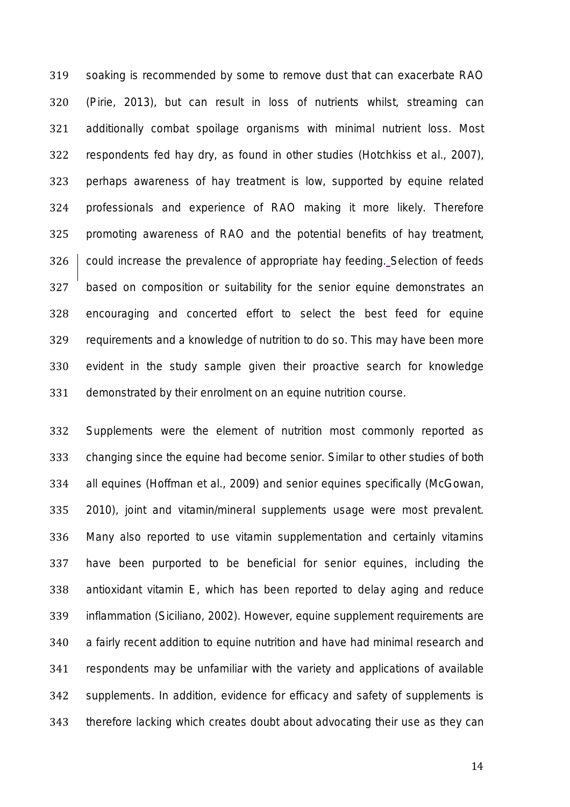soaking is recommended by some to remove dust that can exacerbate RAO (Pirie, 2013), but can result in loss of nutrients whilst, streaming can additionally combat spoilage organisms with minimal nutrient loss. Most respondents fed hay dry, as found in other studies (Hotchkiss *et al.,* 2007), perhaps awareness of hay treatment is low, supported by equine related professionals and experience of RAO making it more likely. Therefore promoting awareness of RAO and the potential benefits of hay treatment, could increase the prevalence of appropriate hay feeding. Selection of feeds based on composition or suitability for the senior equine demonstrates an encouraging and concerted effort to select the best feed for equine requirements and a knowledge of nutrition to do so. This may have been more evident in the study sample given their proactive search for knowledge demonstrated by their enrolment on an equine nutrition course.

 Supplements were the element of nutrition most commonly reported as changing since the equine had become senior. Similar to other studies of both all equines (Hoffman *et al.,* 2009) and senior equines specifically (McGowan, 2010), joint and vitamin/mineral supplements usage were most prevalent. Many also reported to use vitamin supplementation and certainly vitamins have been purported to be beneficial for senior equines, including the antioxidant vitamin E, which has been reported to delay aging and reduce inflammation (Siciliano, 2002). However, equine supplement requirements are a fairly recent addition to equine nutrition and have had minimal research and respondents may be unfamiliar with the variety and applications of available supplements. In addition, evidence for efficacy and safety of supplements is therefore lacking which creates doubt about advocating their use as they can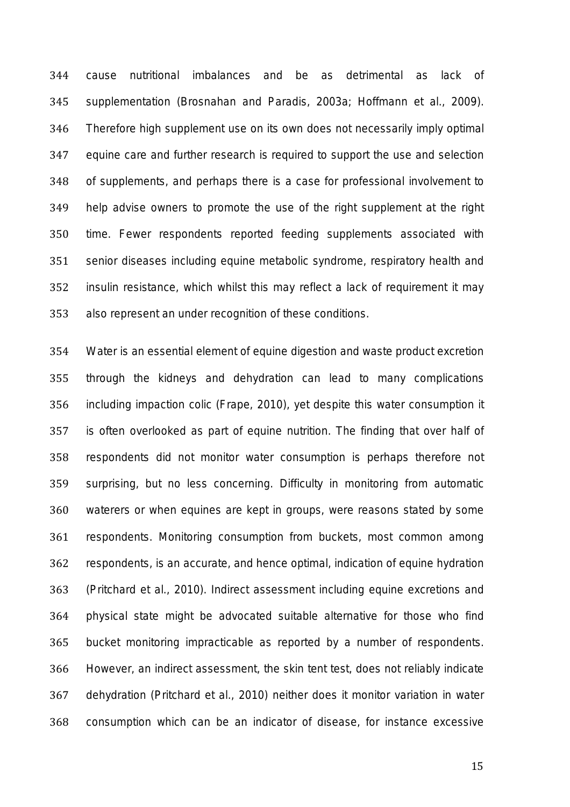cause nutritional imbalances and be as detrimental as lack of supplementation (Brosnahan and Paradis, 2003a; Hoffmann *et al*., 2009). Therefore high supplement use on its own does not necessarily imply optimal equine care and further research is required to support the use and selection of supplements, and perhaps there is a case for professional involvement to help advise owners to promote the use of the right supplement at the right time. Fewer respondents reported feeding supplements associated with senior diseases including equine metabolic syndrome, respiratory health and insulin resistance, which whilst this may reflect a lack of requirement it may also represent an under recognition of these conditions.

 Water is an essential element of equine digestion and waste product excretion through the kidneys and dehydration can lead to many complications including impaction colic (Frape, 2010), yet despite this water consumption it is often overlooked as part of equine nutrition. The finding that over half of respondents did not monitor water consumption is perhaps therefore not surprising, but no less concerning. Difficulty in monitoring from automatic waterers or when equines are kept in groups, were reasons stated by some respondents. Monitoring consumption from buckets, most common among respondents, is an accurate, and hence optimal, indication of equine hydration (Pritchard *et al.,* 2010). Indirect assessment including equine excretions and physical state might be advocated suitable alternative for those who find bucket monitoring impracticable as reported by a number of respondents. However, an indirect assessment, the skin tent test, does not reliably indicate dehydration (Pritchard *et al.,* 2010) neither does it monitor variation in water consumption which can be an indicator of disease, for instance excessive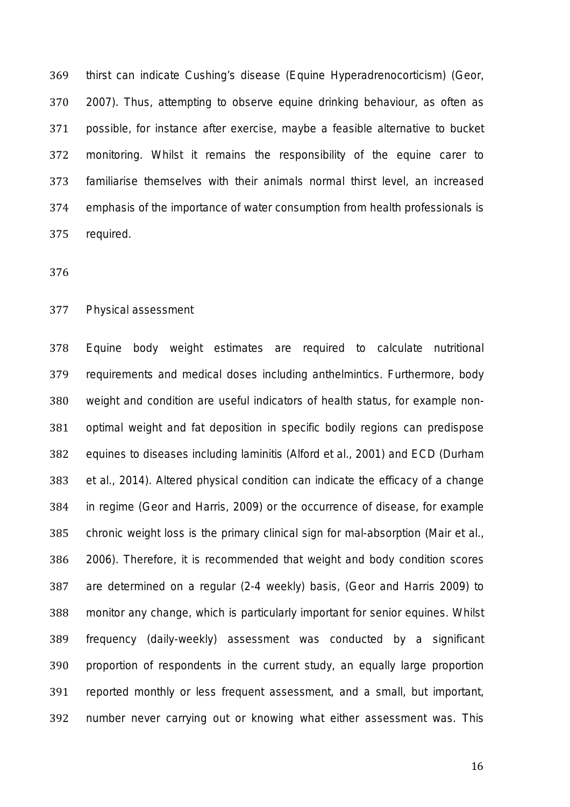thirst can indicate Cushing's disease (Equine Hyperadrenocorticism) (Geor, 2007). Thus, attempting to observe equine drinking behaviour, as often as possible, for instance after exercise, maybe a feasible alternative to bucket monitoring. Whilst it remains the responsibility of the equine carer to familiarise themselves with their animals normal thirst level, an increased emphasis of the importance of water consumption from health professionals is required.

### *Physical assessment*

 Equine body weight estimates are required to calculate nutritional requirements and medical doses including anthelmintics. Furthermore, body weight and condition are useful indicators of health status, for example non- optimal weight and fat deposition in specific bodily regions can predispose equines to diseases including laminitis (Alford *et al.,* 2001) and ECD (Durham *et al.,* 2014). Altered physical condition can indicate the efficacy of a change in regime (Geor and Harris, 2009) or the occurrence of disease, for example chronic weight loss is the primary clinical sign for mal-absorption (Mair *et al.,*  2006). Therefore, it is recommended that weight and body condition scores are determined on a regular (2-4 weekly) basis, (Geor and Harris 2009) to monitor any change, which is particularly important for senior equines. Whilst frequency (daily-weekly) assessment was conducted by a significant proportion of respondents in the current study, an equally large proportion reported monthly or less frequent assessment, and a small, but important, number never carrying out or knowing what either assessment was. This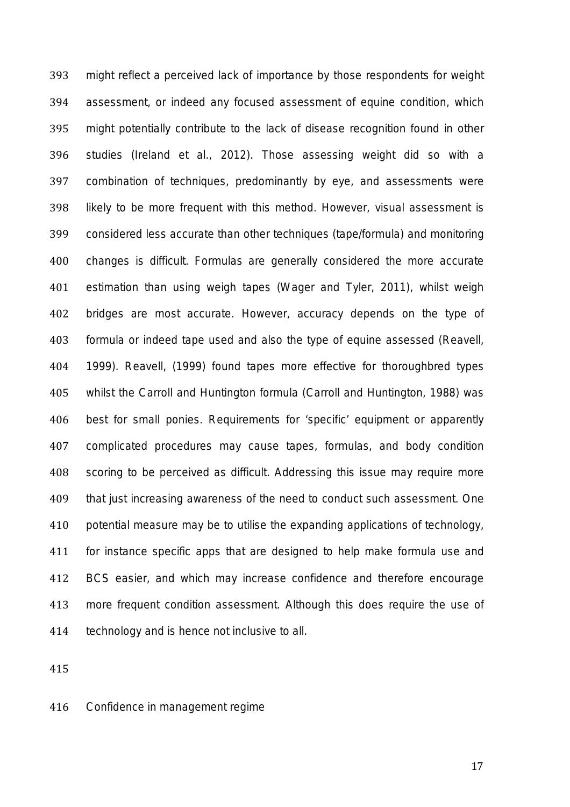might reflect a perceived lack of importance by those respondents for weight assessment, or indeed any focused assessment of equine condition, which might potentially contribute to the lack of disease recognition found in other studies (Ireland *et al.,* 2012). Those assessing weight did so with a combination of techniques, predominantly by eye, and assessments were likely to be more frequent with this method. However, visual assessment is considered less accurate than other techniques (tape/formula) and monitoring changes is difficult. Formulas are generally considered the more accurate estimation than using weigh tapes (Wager and Tyler, 2011), whilst weigh bridges are most accurate. However, accuracy depends on the type of formula or indeed tape used and also the type of equine assessed (Reavell, 1999). Reavell, (1999) found tapes more effective for thoroughbred types whilst the Carroll and Huntington formula (Carroll and Huntington, 1988) was best for small ponies. Requirements for 'specific' equipment or apparently complicated procedures may cause tapes, formulas, and body condition scoring to be perceived as difficult. Addressing this issue may require more that just increasing awareness of the need to conduct such assessment. One potential measure may be to utilise the expanding applications of technology, for instance specific apps that are designed to help make formula use and BCS easier, and which may increase confidence and therefore encourage more frequent condition assessment. Although this does require the use of technology and is hence not inclusive to all.

*Confidence in management regime*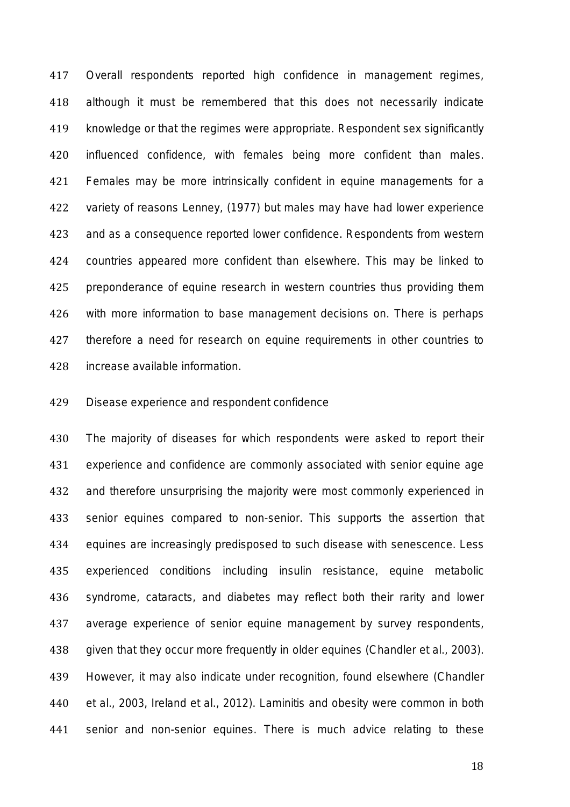Overall respondents reported high confidence in management regimes, although it must be remembered that this does not necessarily indicate knowledge or that the regimes were appropriate. Respondent sex significantly influenced confidence, with females being more confident than males. 421 Females may be more intrinsically confident in equine managements for a variety of reasons Lenney, (1977) but males may have had lower experience and as a consequence reported lower confidence. Respondents from western countries appeared more confident than elsewhere. This may be linked to preponderance of equine research in western countries thus providing them with more information to base management decisions on. There is perhaps therefore a need for research on equine requirements in other countries to increase available information.

# *Disease experience and respondent confidence*

 The majority of diseases for which respondents were asked to report their experience and confidence are commonly associated with senior equine age and therefore unsurprising the majority were most commonly experienced in senior equines compared to non-senior. This supports the assertion that equines are increasingly predisposed to such disease with senescence. Less experienced conditions including insulin resistance, equine metabolic syndrome, cataracts, and diabetes may reflect both their rarity and lower average experience of senior equine management by survey respondents, given that they occur more frequently in older equines (Chandler *et al.,* 2003). However, it may also indicate under recognition, found elsewhere (Chandler *et al.,* 2003, Ireland *et al.,* 2012). Laminitis and obesity were common in both senior and non-senior equines. There is much advice relating to these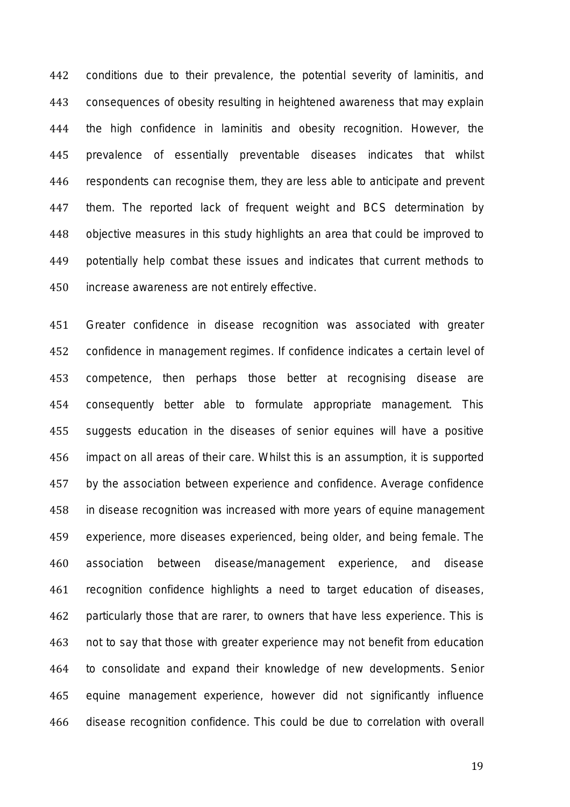conditions due to their prevalence, the potential severity of laminitis, and consequences of obesity resulting in heightened awareness that may explain the high confidence in laminitis and obesity recognition. However, the prevalence of essentially preventable diseases indicates that whilst respondents can recognise them, they are less able to anticipate and prevent them. The reported lack of frequent weight and BCS determination by objective measures in this study highlights an area that could be improved to potentially help combat these issues and indicates that current methods to increase awareness are not entirely effective.

 Greater confidence in disease recognition was associated with greater confidence in management regimes. If confidence indicates a certain level of competence, then perhaps those better at recognising disease are consequently better able to formulate appropriate management. This suggests education in the diseases of senior equines will have a positive impact on all areas of their care. Whilst this is an assumption, it is supported by the association between experience and confidence. Average confidence in disease recognition was increased with more years of equine management experience, more diseases experienced, being older, and being female. The association between disease/management experience, and disease recognition confidence highlights a need to target education of diseases, particularly those that are rarer, to owners that have less experience. This is not to say that those with greater experience may not benefit from education to consolidate and expand their knowledge of new developments. Senior equine management experience, however did not significantly influence disease recognition confidence. This could be due to correlation with overall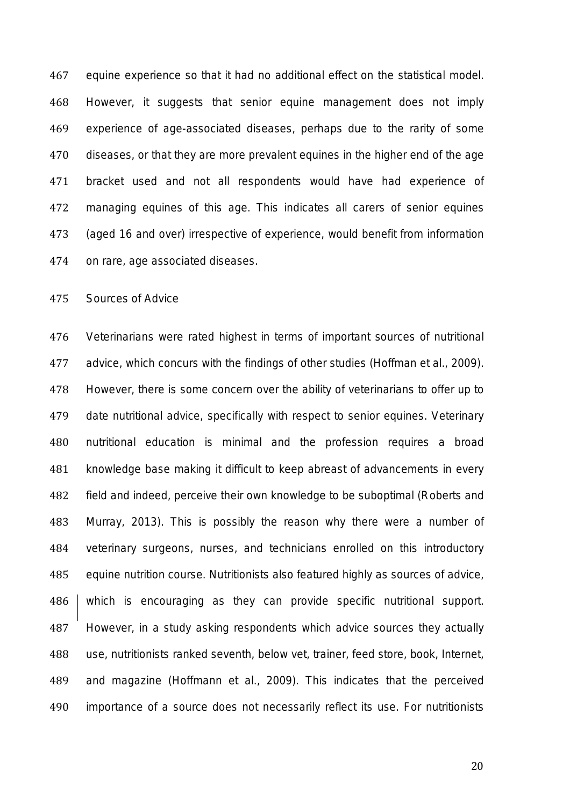equine experience so that it had no additional effect on the statistical model. However, it suggests that senior equine management does not imply experience of age-associated diseases, perhaps due to the rarity of some diseases, or that they are more prevalent equines in the higher end of the age bracket used and not all respondents would have had experience of managing equines of this age. This indicates all carers of senior equines (aged 16 and over) irrespective of experience, would benefit from information on rare, age associated diseases.

## *Sources of Advice*

 Veterinarians were rated highest in terms of important sources of nutritional advice, which concurs with the findings of other studies (Hoffman *et al.,* 2009). However, there is some concern over the ability of veterinarians to offer up to date nutritional advice, specifically with respect to senior equines. Veterinary nutritional education is minimal and the profession requires a broad knowledge base making it difficult to keep abreast of advancements in every field and indeed, perceive their own knowledge to be suboptimal (Roberts and Murray, 2013). This is possibly the reason why there were a number of veterinary surgeons, nurses, and technicians enrolled on this introductory equine nutrition course. Nutritionists also featured highly as sources of advice, 486 which is encouraging as they can provide specific nutritional support. However, in a study asking respondents which advice sources they actually use, nutritionists ranked seventh, below vet, trainer, feed store, book, Internet, and magazine (Hoffmann *et al.,* 2009). This indicates that the perceived importance of a source does not necessarily reflect its use. For nutritionists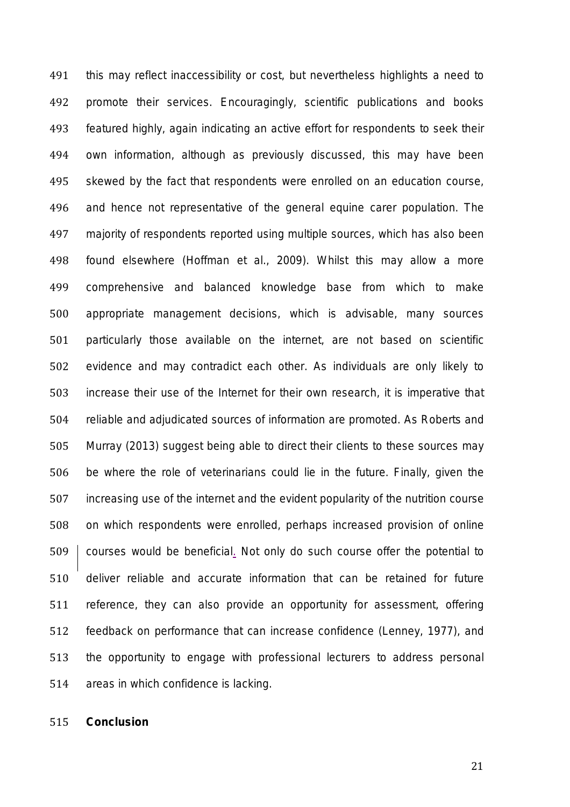this may reflect inaccessibility or cost, but nevertheless highlights a need to promote their services. Encouragingly, scientific publications and books featured highly, again indicating an active effort for respondents to seek their own information, although as previously discussed, this may have been skewed by the fact that respondents were enrolled on an education course, and hence not representative of the general equine carer population. The majority of respondents reported using multiple sources, which has also been found elsewhere (Hoffman *et al.,* 2009). Whilst this may allow a more comprehensive and balanced knowledge base from which to make appropriate management decisions, which is advisable, many sources particularly those available on the internet, are not based on scientific evidence and may contradict each other. As individuals are only likely to increase their use of the Internet for their own research, it is imperative that reliable and adjudicated sources of information are promoted. As Roberts and Murray (2013) suggest being able to direct their clients to these sources may be where the role of veterinarians could lie in the future. Finally, given the increasing use of the internet and the evident popularity of the nutrition course on which respondents were enrolled, perhaps increased provision of online 509 courses would be beneficial. Not only do such course offer the potential to deliver reliable and accurate information that can be retained for future reference, they can also provide an opportunity for assessment, offering feedback on performance that can increase confidence (Lenney, 1977), and the opportunity to engage with professional lecturers to address personal areas in which confidence is lacking.

**Conclusion**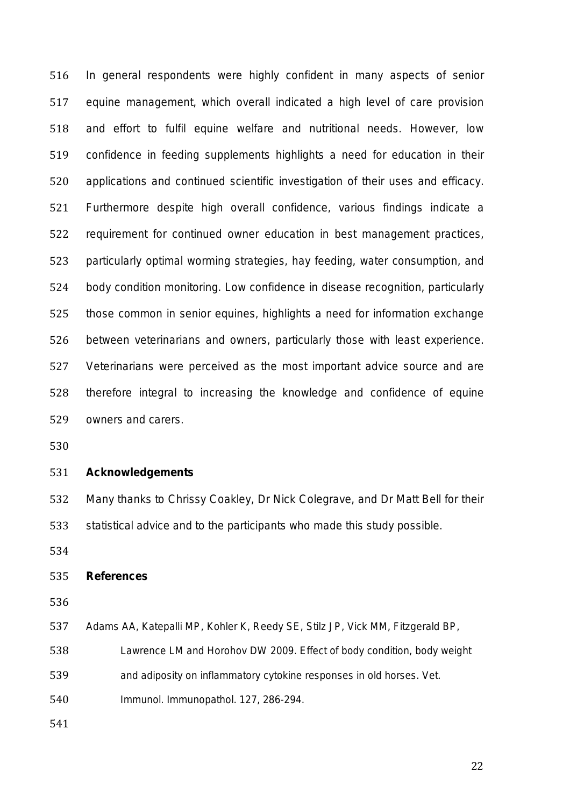In general respondents were highly confident in many aspects of senior equine management, which overall indicated a high level of care provision and effort to fulfil equine welfare and nutritional needs. However, low confidence in feeding supplements highlights a need for education in their applications and continued scientific investigation of their uses and efficacy. Furthermore despite high overall confidence, various findings indicate a requirement for continued owner education in best management practices, particularly optimal worming strategies, hay feeding, water consumption, and body condition monitoring. Low confidence in disease recognition, particularly those common in senior equines, highlights a need for information exchange between veterinarians and owners, particularly those with least experience. Veterinarians were perceived as the most important advice source and are therefore integral to increasing the knowledge and confidence of equine owners and carers.

## **Acknowledgements**

Many thanks to Chrissy Coakley, Dr Nick Colegrave, and Dr Matt Bell for their

statistical advice and to the participants who made this study possible.

## **References**

Adams AA, Katepalli MP, Kohler K, Reedy SE, Stilz JP, Vick MM, Fitzgerald BP,

- Lawrence LM and Horohov DW 2009. Effect of body condition, body weight
- and adiposity on inflammatory cytokine responses in old horses. Vet.

Immunol. Immunopathol. 127, 286-294.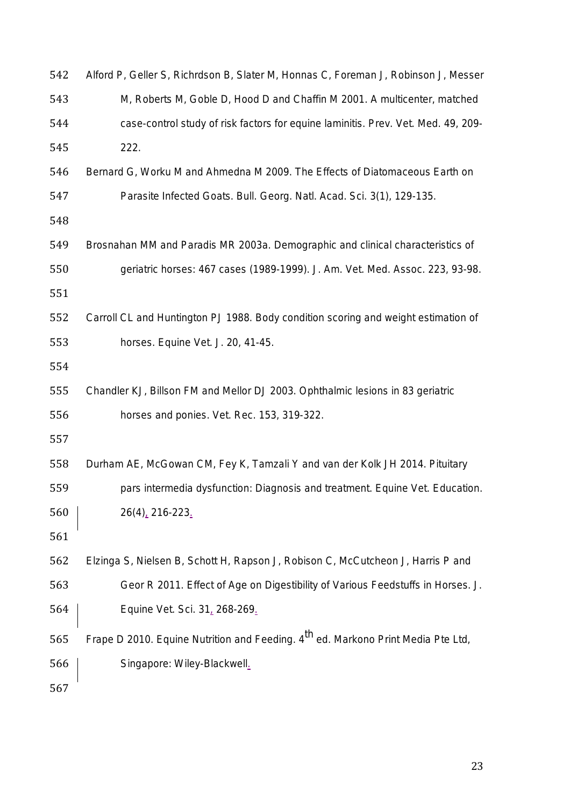| 542 | Alford P, Geller S, Richrdson B, Slater M, Honnas C, Foreman J, Robinson J, Messer           |
|-----|----------------------------------------------------------------------------------------------|
| 543 | M, Roberts M, Goble D, Hood D and Chaffin M 2001. A multicenter, matched                     |
| 544 | case-control study of risk factors for equine laminitis. Prev. Vet. Med. 49, 209-            |
| 545 | 222.                                                                                         |
| 546 | Bernard G, Worku M and Ahmedna M 2009. The Effects of Diatomaceous Earth on                  |
| 547 | Parasite Infected Goats. Bull. Georg. Natl. Acad. Sci. 3(1), 129-135.                        |
| 548 |                                                                                              |
| 549 | Brosnahan MM and Paradis MR 2003a. Demographic and clinical characteristics of               |
| 550 | geriatric horses: 467 cases (1989-1999). J. Am. Vet. Med. Assoc. 223, 93-98.                 |
| 551 |                                                                                              |
| 552 | Carroll CL and Huntington PJ 1988. Body condition scoring and weight estimation of           |
| 553 | horses. Equine Vet. J. 20, 41-45.                                                            |
| 554 |                                                                                              |
| 555 | Chandler KJ, Billson FM and Mellor DJ 2003. Ophthalmic lesions in 83 geriatric               |
| 556 | horses and ponies. Vet. Rec. 153, 319-322.                                                   |
| 557 |                                                                                              |
| 558 | Durham AE, McGowan CM, Fey K, Tamzali Y and van der Kolk JH 2014. Pituitary                  |
| 559 | pars intermedia dysfunction: Diagnosis and treatment. Equine Vet. Education.                 |
| 560 | 26(4), 216-223.                                                                              |
| 561 |                                                                                              |
| 562 | Elzinga S, Nielsen B, Schott H, Rapson J, Robison C, McCutcheon J, Harris P and              |
| 563 | Geor R 2011. Effect of Age on Digestibility of Various Feedstuffs in Horses. J.              |
| 564 | Equine Vet. Sci. 31, 268-269.                                                                |
| 565 | Frape D 2010. Equine Nutrition and Feeding. 4 <sup>th</sup> ed. Markono Print Media Pte Ltd, |
| 566 | Singapore: Wiley-Blackwell.                                                                  |
| 567 |                                                                                              |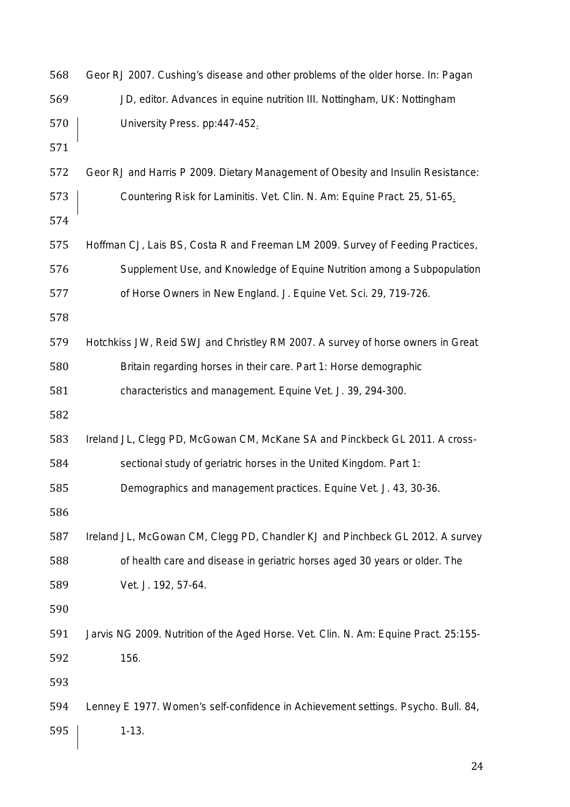| 568 | Geor RJ 2007. Cushing's disease and other problems of the older horse. In: Pagan     |
|-----|--------------------------------------------------------------------------------------|
| 569 | JD, editor. Advances in equine nutrition III. Nottingham, UK: Nottingham             |
| 570 | University Press. pp:447-452.                                                        |
| 571 |                                                                                      |
| 572 | Geor RJ and Harris P 2009. Dietary Management of Obesity and Insulin Resistance:     |
| 573 | Countering Risk for Laminitis. Vet. Clin. N. Am: Equine Pract. 25, 51-65.            |
| 574 |                                                                                      |
| 575 | Hoffman CJ, Lais BS, Costa R and Freeman LM 2009. Survey of Feeding Practices,       |
| 576 | Supplement Use, and Knowledge of Equine Nutrition among a Subpopulation              |
| 577 | of Horse Owners in New England. J. Equine Vet. Sci. 29, 719-726.                     |
| 578 |                                                                                      |
| 579 | Hotchkiss JW, Reid SWJ and Christley RM 2007. A survey of horse owners in Great      |
| 580 | Britain regarding horses in their care. Part 1: Horse demographic                    |
| 581 | characteristics and management. Equine Vet. J. 39, 294-300.                          |
| 582 |                                                                                      |
| 583 | Ireland JL, Clegg PD, McGowan CM, McKane SA and Pinckbeck GL 2011. A cross-          |
| 584 | sectional study of geriatric horses in the United Kingdom. Part 1:                   |
| 585 | Demographics and management practices. Equine Vet. J. 43, 30-36.                     |
| 586 |                                                                                      |
| 587 | Ireland JL, McGowan CM, Clegg PD, Chandler KJ and Pinchbeck GL 2012. A survey        |
| 588 | of health care and disease in geriatric horses aged 30 years or older. The           |
| 589 | Vet. J. 192, 57-64.                                                                  |
| 590 |                                                                                      |
| 591 | Jarvis NG 2009. Nutrition of the Aged Horse. Vet. Clin. N. Am: Equine Pract. 25:155- |
| 592 | 156.                                                                                 |
| 593 |                                                                                      |
| 594 | Lenney E 1977. Women's self-confidence in Achievement settings. Psycho. Bull. 84,    |
| 595 | $1 - 13.$                                                                            |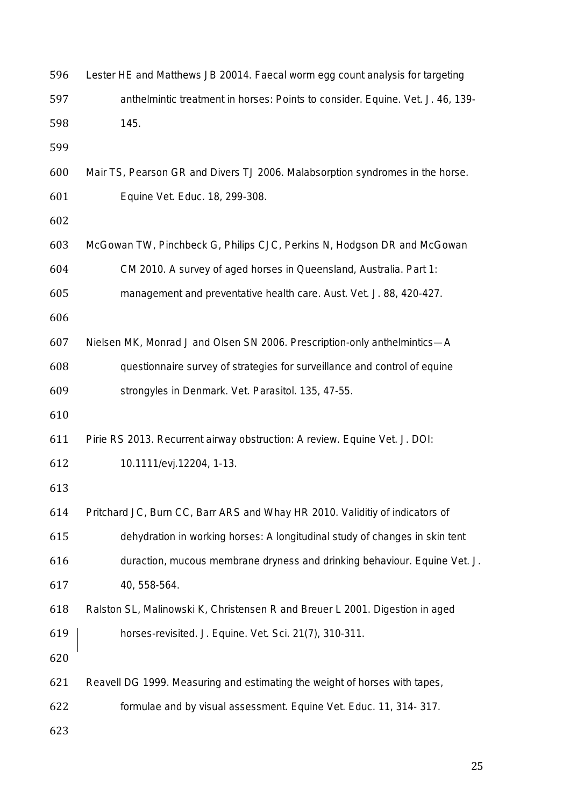| 596 | Lester HE and Matthews JB 20014. Faecal worm egg count analysis for targeting  |
|-----|--------------------------------------------------------------------------------|
| 597 | anthelmintic treatment in horses: Points to consider. Equine. Vet. J. 46, 139- |
| 598 | 145.                                                                           |
| 599 |                                                                                |
| 600 | Mair TS, Pearson GR and Divers TJ 2006. Malabsorption syndromes in the horse.  |
| 601 | Equine Vet. Educ. 18, 299-308.                                                 |
| 602 |                                                                                |
| 603 | McGowan TW, Pinchbeck G, Philips CJC, Perkins N, Hodgson DR and McGowan        |
| 604 | CM 2010. A survey of aged horses in Queensland, Australia. Part 1:             |
| 605 | management and preventative health care. Aust. Vet. J. 88, 420-427.            |
| 606 |                                                                                |
| 607 | Nielsen MK, Monrad J and Olsen SN 2006. Prescription-only anthelmintics—A      |
| 608 | questionnaire survey of strategies for surveillance and control of equine      |
| 609 | strongyles in Denmark. Vet. Parasitol. 135, 47-55.                             |
| 610 |                                                                                |
| 611 | Pirie RS 2013. Recurrent airway obstruction: A review. Equine Vet. J. DOI:     |
| 612 | 10.1111/evj.12204, 1-13.                                                       |
| 613 |                                                                                |
| 614 | Pritchard JC, Burn CC, Barr ARS and Whay HR 2010. Validitiy of indicators of   |
| 615 | dehydration in working horses: A longitudinal study of changes in skin tent    |
| 616 | duraction, mucous membrane dryness and drinking behaviour. Equine Vet. J.      |
| 617 | 40, 558-564.                                                                   |
| 618 | Ralston SL, Malinowski K, Christensen R and Breuer L 2001. Digestion in aged   |
| 619 | horses-revisited. J. Equine. Vet. Sci. 21(7), 310-311.                         |
| 620 |                                                                                |
| 621 | Reavell DG 1999. Measuring and estimating the weight of horses with tapes,     |
| 622 | formulae and by visual assessment. Equine Vet. Educ. 11, 314- 317.             |
| 623 |                                                                                |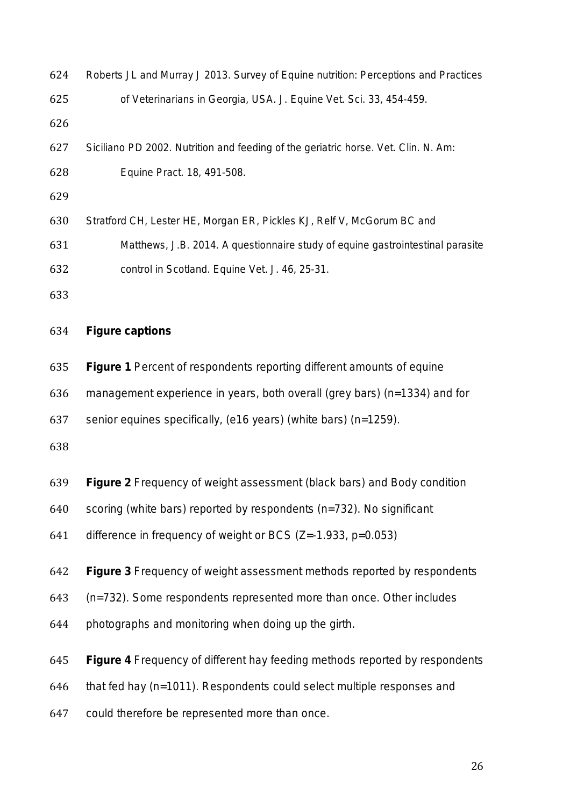| 624 | Roberts JL and Murray J 2013. Survey of Equine nutrition: Perceptions and Practices |
|-----|-------------------------------------------------------------------------------------|
| 625 | of Veterinarians in Georgia, USA. J. Equine Vet. Sci. 33, 454-459.                  |
| 626 |                                                                                     |
| 627 | Siciliano PD 2002. Nutrition and feeding of the geriatric horse. Vet. Clin. N. Am:  |
| 628 | Equine Pract. 18, 491-508.                                                          |
| 629 |                                                                                     |
| 630 | Stratford CH, Lester HE, Morgan ER, Pickles KJ, Relf V, McGorum BC and              |
| 631 | Matthews, J.B. 2014. A questionnaire study of equine gastrointestinal parasite      |
| 632 | control in Scotland. Equine Vet. J. 46, 25-31.                                      |
| 633 |                                                                                     |
| 634 | <b>Figure captions</b>                                                              |
| 635 | Figure 1 Percent of respondents reporting different amounts of equine               |
| 636 | management experience in years, both overall (grey bars) (n=1334) and for           |
| 637 | senior equines specifically, (e16 years) (white bars) (n=1259).                     |
| 638 |                                                                                     |
| 639 | <b>Figure 2</b> Frequency of weight assessment (black bars) and Body condition      |
| 640 | scoring (white bars) reported by respondents (n=732). No significant                |
| 641 | difference in frequency of weight or BCS $(Z = -1.933, p = 0.053)$                  |
| 642 | Figure 3 Frequency of weight assessment methods reported by respondents             |
| 643 | (n=732). Some respondents represented more than once. Other includes                |
| 644 | photographs and monitoring when doing up the girth.                                 |
| 645 | Figure 4 Frequency of different hay feeding methods reported by respondents         |
| 646 | that fed hay (n=1011). Respondents could select multiple responses and              |
| 647 | could therefore be represented more than once.                                      |
|     |                                                                                     |